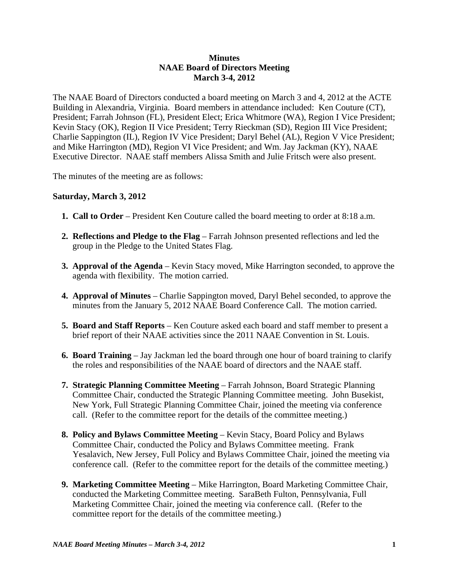## **Minutes NAAE Board of Directors Meeting March 3-4, 2012**

The NAAE Board of Directors conducted a board meeting on March 3 and 4, 2012 at the ACTE Building in Alexandria, Virginia. Board members in attendance included: Ken Couture (CT), President; Farrah Johnson (FL), President Elect; Erica Whitmore (WA), Region I Vice President; Kevin Stacy (OK), Region II Vice President; Terry Rieckman (SD), Region III Vice President; Charlie Sappington (IL), Region IV Vice President; Daryl Behel (AL), Region V Vice President; and Mike Harrington (MD), Region VI Vice President; and Wm. Jay Jackman (KY), NAAE Executive Director. NAAE staff members Alissa Smith and Julie Fritsch were also present.

The minutes of the meeting are as follows:

## **Saturday, March 3, 2012**

- **1. Call to Order** President Ken Couture called the board meeting to order at 8:18 a.m.
- **2. Reflections and Pledge to the Flag** Farrah Johnson presented reflections and led the group in the Pledge to the United States Flag.
- **3. Approval of the Agenda** Kevin Stacy moved, Mike Harrington seconded, to approve the agenda with flexibility. The motion carried.
- **4. Approval of Minutes** Charlie Sappington moved, Daryl Behel seconded, to approve the minutes from the January 5, 2012 NAAE Board Conference Call. The motion carried.
- **5. Board and Staff Reports** Ken Couture asked each board and staff member to present a brief report of their NAAE activities since the 2011 NAAE Convention in St. Louis.
- **6. Board Training** Jay Jackman led the board through one hour of board training to clarify the roles and responsibilities of the NAAE board of directors and the NAAE staff.
- **7. Strategic Planning Committee Meeting** Farrah Johnson, Board Strategic Planning Committee Chair, conducted the Strategic Planning Committee meeting. John Busekist, New York, Full Strategic Planning Committee Chair, joined the meeting via conference call. (Refer to the committee report for the details of the committee meeting.)
- **8. Policy and Bylaws Committee Meeting**  Kevin Stacy, Board Policy and Bylaws Committee Chair, conducted the Policy and Bylaws Committee meeting. Frank Yesalavich, New Jersey, Full Policy and Bylaws Committee Chair, joined the meeting via conference call. (Refer to the committee report for the details of the committee meeting.)
- **9. Marketing Committee Meeting** Mike Harrington, Board Marketing Committee Chair, conducted the Marketing Committee meeting. SaraBeth Fulton, Pennsylvania, Full Marketing Committee Chair, joined the meeting via conference call. (Refer to the committee report for the details of the committee meeting.)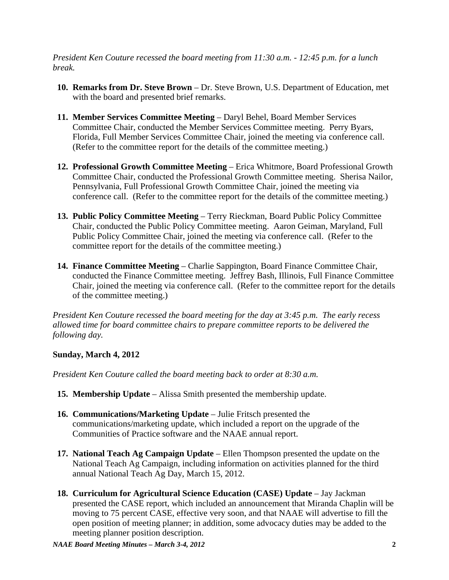*President Ken Couture recessed the board meeting from 11:30 a.m. - 12:45 p.m. for a lunch break.*

- **10. Remarks from Dr. Steve Brown** Dr. Steve Brown, U.S. Department of Education, met with the board and presented brief remarks.
- **11. Member Services Committee Meeting**  Daryl Behel, Board Member Services Committee Chair, conducted the Member Services Committee meeting. Perry Byars, Florida, Full Member Services Committee Chair, joined the meeting via conference call. (Refer to the committee report for the details of the committee meeting.)
- **12. Professional Growth Committee Meeting** Erica Whitmore, Board Professional Growth Committee Chair, conducted the Professional Growth Committee meeting. Sherisa Nailor, Pennsylvania, Full Professional Growth Committee Chair, joined the meeting via conference call. (Refer to the committee report for the details of the committee meeting.)
- **13. Public Policy Committee Meeting** Terry Rieckman, Board Public Policy Committee Chair, conducted the Public Policy Committee meeting. Aaron Geiman, Maryland, Full Public Policy Committee Chair, joined the meeting via conference call. (Refer to the committee report for the details of the committee meeting.)
- **14. Finance Committee Meeting**  Charlie Sappington, Board Finance Committee Chair, conducted the Finance Committee meeting. Jeffrey Bash, Illinois, Full Finance Committee Chair, joined the meeting via conference call. (Refer to the committee report for the details of the committee meeting.)

*President Ken Couture recessed the board meeting for the day at 3:45 p.m. The early recess allowed time for board committee chairs to prepare committee reports to be delivered the following day.*

## **Sunday, March 4, 2012**

*President Ken Couture called the board meeting back to order at 8:30 a.m.* 

- **15. Membership Update** Alissa Smith presented the membership update.
- **16. Communications/Marketing Update** Julie Fritsch presented the communications/marketing update, which included a report on the upgrade of the Communities of Practice software and the NAAE annual report.
- **17. National Teach Ag Campaign Update** Ellen Thompson presented the update on the National Teach Ag Campaign, including information on activities planned for the third annual National Teach Ag Day, March 15, 2012.
- **18. Curriculum for Agricultural Science Education (CASE) Update** Jay Jackman presented the CASE report, which included an announcement that Miranda Chaplin will be moving to 75 percent CASE, effective very soon, and that NAAE will advertise to fill the open position of meeting planner; in addition, some advocacy duties may be added to the meeting planner position description.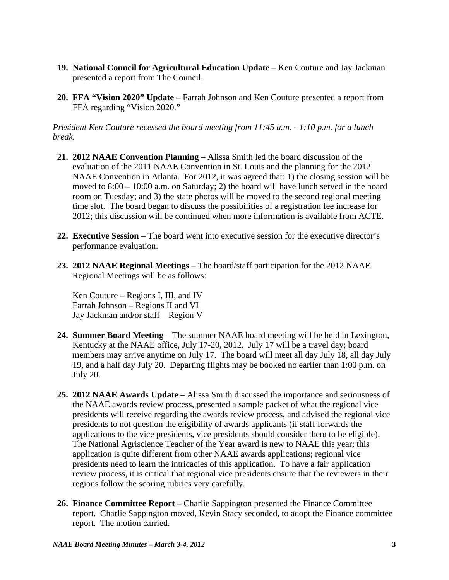- **19. National Council for Agricultural Education Update** Ken Couture and Jay Jackman presented a report from The Council.
- **20. FFA "Vision 2020" Update** Farrah Johnson and Ken Couture presented a report from FFA regarding "Vision 2020."

*President Ken Couture recessed the board meeting from 11:45 a.m. - 1:10 p.m. for a lunch break.*

- **21. 2012 NAAE Convention Planning** Alissa Smith led the board discussion of the evaluation of the 2011 NAAE Convention in St. Louis and the planning for the 2012 NAAE Convention in Atlanta. For 2012, it was agreed that: 1) the closing session will be moved to 8:00 – 10:00 a.m. on Saturday; 2) the board will have lunch served in the board room on Tuesday; and 3) the state photos will be moved to the second regional meeting time slot. The board began to discuss the possibilities of a registration fee increase for 2012; this discussion will be continued when more information is available from ACTE.
- **22. Executive Session**  The board went into executive session for the executive director's performance evaluation.
- **23. 2012 NAAE Regional Meetings** The board/staff participation for the 2012 NAAE Regional Meetings will be as follows:

 Ken Couture – Regions I, III, and IV Farrah Johnson – Regions II and VI Jay Jackman and/or staff – Region V

- **24. Summer Board Meeting**  The summer NAAE board meeting will be held in Lexington, Kentucky at the NAAE office, July 17-20, 2012. July 17 will be a travel day; board members may arrive anytime on July 17. The board will meet all day July 18, all day July 19, and a half day July 20. Departing flights may be booked no earlier than 1:00 p.m. on July 20.
- **25. 2012 NAAE Awards Update** Alissa Smith discussed the importance and seriousness of the NAAE awards review process, presented a sample packet of what the regional vice presidents will receive regarding the awards review process, and advised the regional vice presidents to not question the eligibility of awards applicants (if staff forwards the applications to the vice presidents, vice presidents should consider them to be eligible). The National Agriscience Teacher of the Year award is new to NAAE this year; this application is quite different from other NAAE awards applications; regional vice presidents need to learn the intricacies of this application. To have a fair application review process, it is critical that regional vice presidents ensure that the reviewers in their regions follow the scoring rubrics very carefully.
- **26. Finance Committee Report**  Charlie Sappington presented the Finance Committee report. Charlie Sappington moved, Kevin Stacy seconded, to adopt the Finance committee report. The motion carried.